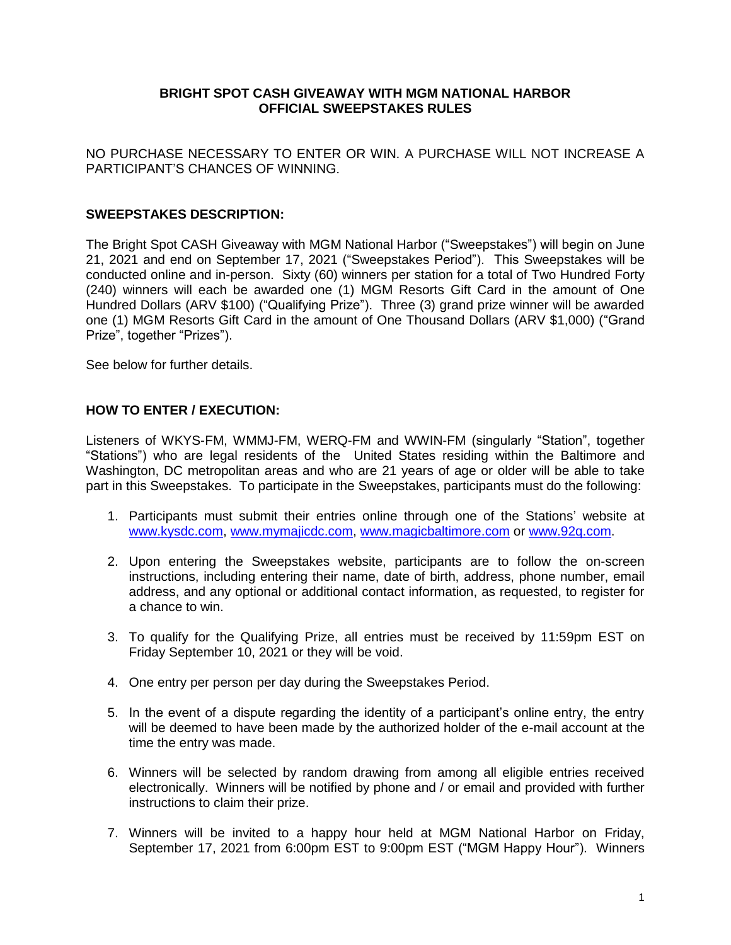### **BRIGHT SPOT CASH GIVEAWAY WITH MGM NATIONAL HARBOR OFFICIAL SWEEPSTAKES RULES**

NO PURCHASE NECESSARY TO ENTER OR WIN. A PURCHASE WILL NOT INCREASE A PARTICIPANT'S CHANCES OF WINNING.

#### **SWEEPSTAKES DESCRIPTION:**

The Bright Spot CASH Giveaway with MGM National Harbor ("Sweepstakes") will begin on June 21, 2021 and end on September 17, 2021 ("Sweepstakes Period"). This Sweepstakes will be conducted online and in-person. Sixty (60) winners per station for a total of Two Hundred Forty (240) winners will each be awarded one (1) MGM Resorts Gift Card in the amount of One Hundred Dollars (ARV \$100) ("Qualifying Prize"). Three (3) grand prize winner will be awarded one (1) MGM Resorts Gift Card in the amount of One Thousand Dollars (ARV \$1,000) ("Grand Prize", together "Prizes").

See below for further details.

## **HOW TO ENTER / EXECUTION:**

Listeners of WKYS-FM, WMMJ-FM, WERQ-FM and WWIN-FM (singularly "Station", together "Stations") who are legal residents of the United States residing within the Baltimore and Washington, DC metropolitan areas and who are 21 years of age or older will be able to take part in this Sweepstakes. To participate in the Sweepstakes, participants must do the following:

- 1. Participants must submit their entries online through one of the Stations' website at [www.kysdc.com,](http://www.kysdc.com/) [www.mymajicdc.com,](http://www.mymajicdc.com/) [www.magicbaltimore.com](http://www.magicbaltimore.com/) or [www.92q.com.](http://www.92q.com/)
- 2. Upon entering the Sweepstakes website, participants are to follow the on-screen instructions, including entering their name, date of birth, address, phone number, email address, and any optional or additional contact information, as requested, to register for a chance to win.
- 3. To qualify for the Qualifying Prize, all entries must be received by 11:59pm EST on Friday September 10, 2021 or they will be void.
- 4. One entry per person per day during the Sweepstakes Period.
- 5. In the event of a dispute regarding the identity of a participant's online entry, the entry will be deemed to have been made by the authorized holder of the e-mail account at the time the entry was made.
- 6. Winners will be selected by random drawing from among all eligible entries received electronically. Winners will be notified by phone and / or email and provided with further instructions to claim their prize.
- 7. Winners will be invited to a happy hour held at MGM National Harbor on Friday, September 17, 2021 from 6:00pm EST to 9:00pm EST ("MGM Happy Hour"). Winners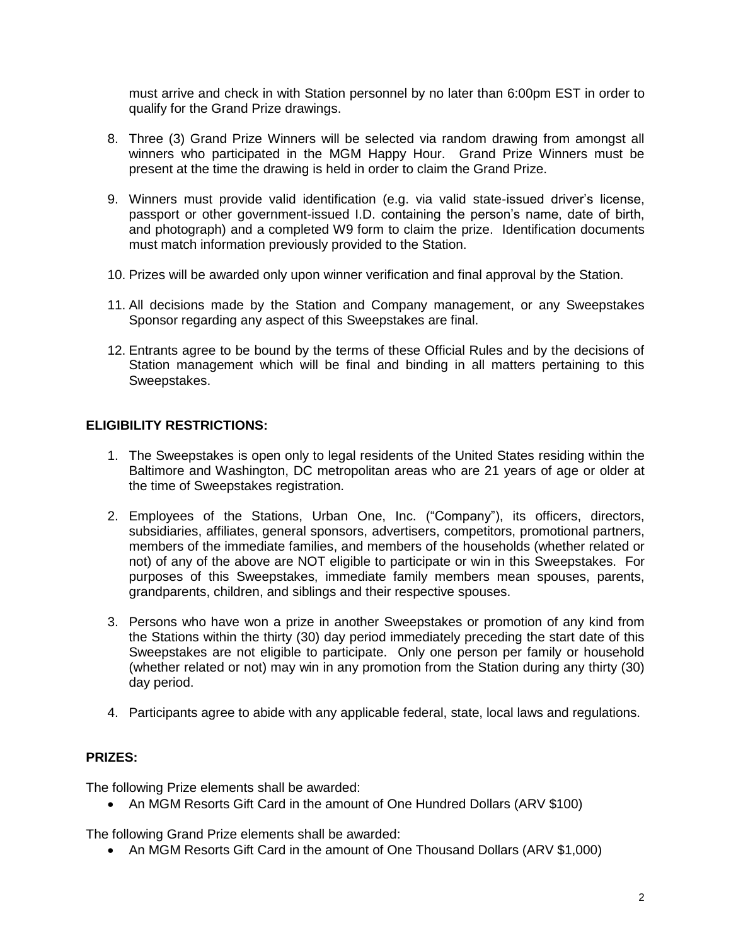must arrive and check in with Station personnel by no later than 6:00pm EST in order to qualify for the Grand Prize drawings.

- 8. Three (3) Grand Prize Winners will be selected via random drawing from amongst all winners who participated in the MGM Happy Hour. Grand Prize Winners must be present at the time the drawing is held in order to claim the Grand Prize.
- 9. Winners must provide valid identification (e.g. via valid state-issued driver's license, passport or other government-issued I.D. containing the person's name, date of birth, and photograph) and a completed W9 form to claim the prize. Identification documents must match information previously provided to the Station.
- 10. Prizes will be awarded only upon winner verification and final approval by the Station.
- 11. All decisions made by the Station and Company management, or any Sweepstakes Sponsor regarding any aspect of this Sweepstakes are final.
- 12. Entrants agree to be bound by the terms of these Official Rules and by the decisions of Station management which will be final and binding in all matters pertaining to this Sweepstakes.

# **ELIGIBILITY RESTRICTIONS:**

- 1. The Sweepstakes is open only to legal residents of the United States residing within the Baltimore and Washington, DC metropolitan areas who are 21 years of age or older at the time of Sweepstakes registration.
- 2. Employees of the Stations, Urban One, Inc. ("Company"), its officers, directors, subsidiaries, affiliates, general sponsors, advertisers, competitors, promotional partners, members of the immediate families, and members of the households (whether related or not) of any of the above are NOT eligible to participate or win in this Sweepstakes. For purposes of this Sweepstakes, immediate family members mean spouses, parents, grandparents, children, and siblings and their respective spouses.
- 3. Persons who have won a prize in another Sweepstakes or promotion of any kind from the Stations within the thirty (30) day period immediately preceding the start date of this Sweepstakes are not eligible to participate. Only one person per family or household (whether related or not) may win in any promotion from the Station during any thirty (30) day period.
- 4. Participants agree to abide with any applicable federal, state, local laws and regulations.

## **PRIZES:**

The following Prize elements shall be awarded:

An MGM Resorts Gift Card in the amount of One Hundred Dollars (ARV \$100)

The following Grand Prize elements shall be awarded:

An MGM Resorts Gift Card in the amount of One Thousand Dollars (ARV \$1,000)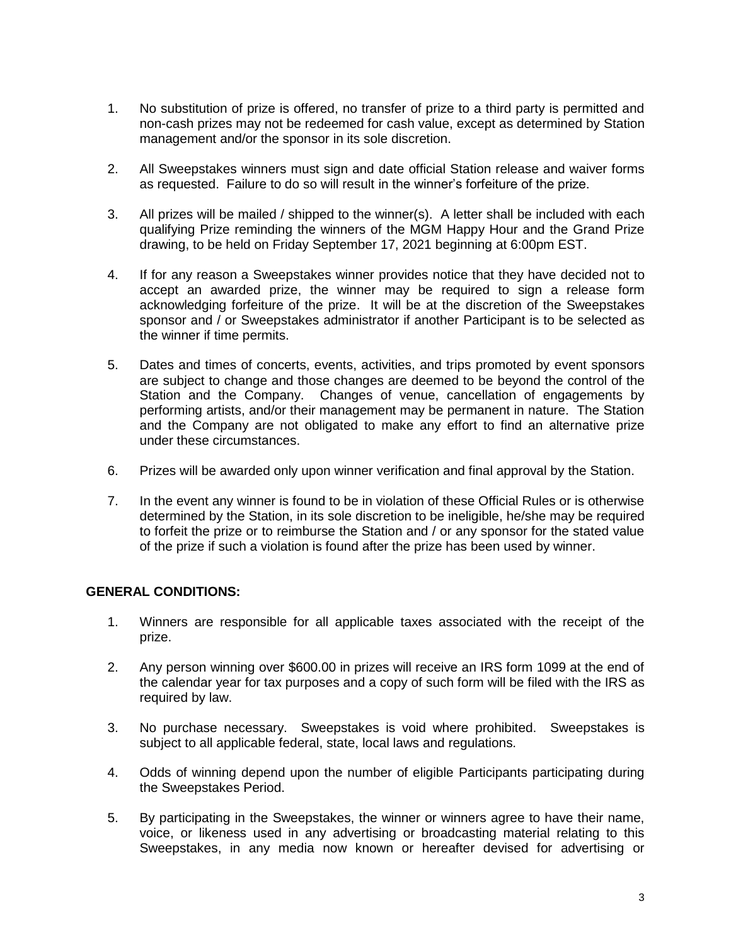- 1. No substitution of prize is offered, no transfer of prize to a third party is permitted and non-cash prizes may not be redeemed for cash value, except as determined by Station management and/or the sponsor in its sole discretion.
- 2. All Sweepstakes winners must sign and date official Station release and waiver forms as requested. Failure to do so will result in the winner's forfeiture of the prize.
- 3. All prizes will be mailed / shipped to the winner(s). A letter shall be included with each qualifying Prize reminding the winners of the MGM Happy Hour and the Grand Prize drawing, to be held on Friday September 17, 2021 beginning at 6:00pm EST.
- 4. If for any reason a Sweepstakes winner provides notice that they have decided not to accept an awarded prize, the winner may be required to sign a release form acknowledging forfeiture of the prize. It will be at the discretion of the Sweepstakes sponsor and / or Sweepstakes administrator if another Participant is to be selected as the winner if time permits.
- 5. Dates and times of concerts, events, activities, and trips promoted by event sponsors are subject to change and those changes are deemed to be beyond the control of the Station and the Company. Changes of venue, cancellation of engagements by performing artists, and/or their management may be permanent in nature. The Station and the Company are not obligated to make any effort to find an alternative prize under these circumstances.
- 6. Prizes will be awarded only upon winner verification and final approval by the Station.
- 7. In the event any winner is found to be in violation of these Official Rules or is otherwise determined by the Station, in its sole discretion to be ineligible, he/she may be required to forfeit the prize or to reimburse the Station and / or any sponsor for the stated value of the prize if such a violation is found after the prize has been used by winner.

## **GENERAL CONDITIONS:**

- 1. Winners are responsible for all applicable taxes associated with the receipt of the prize.
- 2. Any person winning over \$600.00 in prizes will receive an IRS form 1099 at the end of the calendar year for tax purposes and a copy of such form will be filed with the IRS as required by law.
- 3. No purchase necessary. Sweepstakes is void where prohibited. Sweepstakes is subject to all applicable federal, state, local laws and regulations.
- 4. Odds of winning depend upon the number of eligible Participants participating during the Sweepstakes Period.
- 5. By participating in the Sweepstakes, the winner or winners agree to have their name, voice, or likeness used in any advertising or broadcasting material relating to this Sweepstakes, in any media now known or hereafter devised for advertising or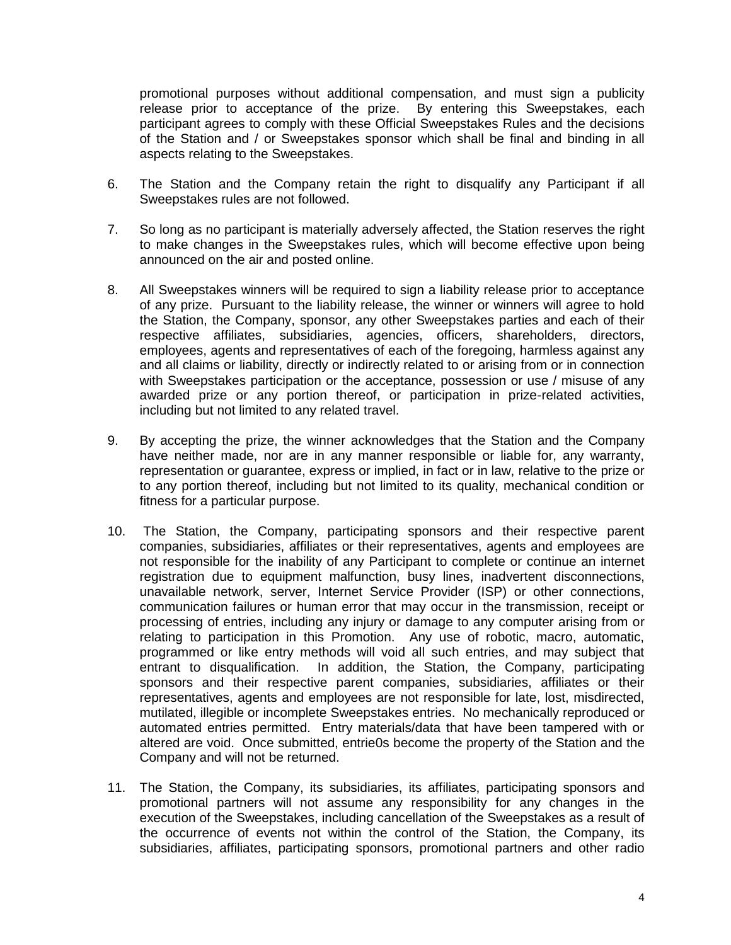promotional purposes without additional compensation, and must sign a publicity release prior to acceptance of the prize. By entering this Sweepstakes, each participant agrees to comply with these Official Sweepstakes Rules and the decisions of the Station and / or Sweepstakes sponsor which shall be final and binding in all aspects relating to the Sweepstakes.

- 6. The Station and the Company retain the right to disqualify any Participant if all Sweepstakes rules are not followed.
- 7. So long as no participant is materially adversely affected, the Station reserves the right to make changes in the Sweepstakes rules, which will become effective upon being announced on the air and posted online.
- 8. All Sweepstakes winners will be required to sign a liability release prior to acceptance of any prize. Pursuant to the liability release, the winner or winners will agree to hold the Station, the Company, sponsor, any other Sweepstakes parties and each of their respective affiliates, subsidiaries, agencies, officers, shareholders, directors, employees, agents and representatives of each of the foregoing, harmless against any and all claims or liability, directly or indirectly related to or arising from or in connection with Sweepstakes participation or the acceptance, possession or use / misuse of any awarded prize or any portion thereof, or participation in prize-related activities, including but not limited to any related travel.
- 9. By accepting the prize, the winner acknowledges that the Station and the Company have neither made, nor are in any manner responsible or liable for, any warranty, representation or guarantee, express or implied, in fact or in law, relative to the prize or to any portion thereof, including but not limited to its quality, mechanical condition or fitness for a particular purpose.
- 10. The Station, the Company, participating sponsors and their respective parent companies, subsidiaries, affiliates or their representatives, agents and employees are not responsible for the inability of any Participant to complete or continue an internet registration due to equipment malfunction, busy lines, inadvertent disconnections, unavailable network, server, Internet Service Provider (ISP) or other connections, communication failures or human error that may occur in the transmission, receipt or processing of entries, including any injury or damage to any computer arising from or relating to participation in this Promotion. Any use of robotic, macro, automatic, programmed or like entry methods will void all such entries, and may subject that entrant to disqualification. In addition, the Station, the Company, participating sponsors and their respective parent companies, subsidiaries, affiliates or their representatives, agents and employees are not responsible for late, lost, misdirected, mutilated, illegible or incomplete Sweepstakes entries. No mechanically reproduced or automated entries permitted. Entry materials/data that have been tampered with or altered are void. Once submitted, entrie0s become the property of the Station and the Company and will not be returned.
- 11. The Station, the Company, its subsidiaries, its affiliates, participating sponsors and promotional partners will not assume any responsibility for any changes in the execution of the Sweepstakes, including cancellation of the Sweepstakes as a result of the occurrence of events not within the control of the Station, the Company, its subsidiaries, affiliates, participating sponsors, promotional partners and other radio